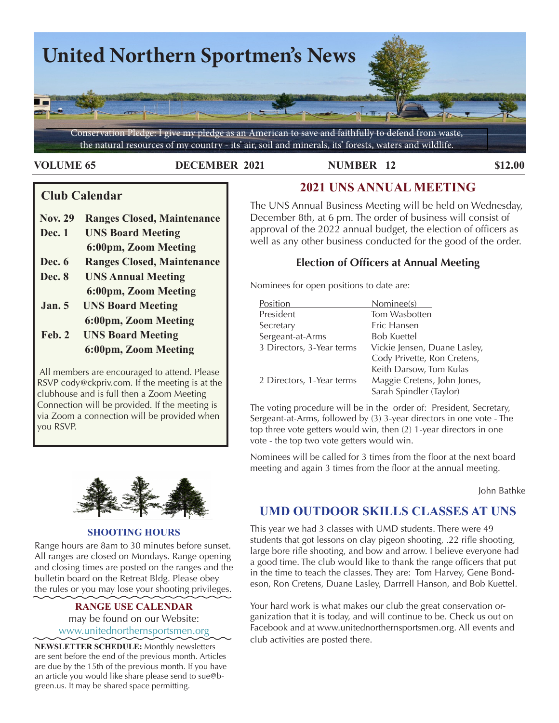

#### **VOLUME 65 DECEMBER 2021 NUMBER 12 \$12.00**

# **Club Calendar**

- **Nov. 29 Ranges Closed, Maintenance**
- **Dec. 1 UNS Board Meeting 6:00pm, Zoom Meeting**
- **Dec. 6 Ranges Closed, Maintenance**
- **Dec. 8 UNS Annual Meeting 6:00pm, Zoom Meeting**
- **Jan. 5 UNS Board Meeting 6:00pm, Zoom Meeting**
- **Feb. 2 UNS Board Meeting 6:00pm, Zoom Meeting**

 All members are encouraged to attend. Please RSVP cody@ckpriv.com. If the meeting is at the clubhouse and is full then a Zoom Meeting Connection will be provided. If the meeting is via Zoom a connection will be provided when you RSVP.



#### **SHOOTING HOURS**

Range hours are 8am to 30 minutes before sunset. All ranges are closed on Mondays. Range opening and closing times are posted on the ranges and the  $\frac{a}{b}$ bulletin board on the Retreat Bldg. Please obey the rules or you may lose your shooting privileges.

### **RANGE USE CALENDAR**  may be found on our Website: [www.unitednorthernsportsmen.org](http://www.unitednorthernsportsmen.org)

**NEWSLETTER SCHEDULE:** Monthly newsletters are sent before the end of the previous month. Articles are due by the 15th of the previous month. If you have an article you would like share please send to sue@bgreen.us. It may be shared space permitting.

# **2021 UNS ANNUAL MEETING**

The UNS Annual Business Meeting will be held on Wednesday, December 8th, at 6 pm. The order of business will consist of approval of the 2022 annual budget, the election of officers as well as any other business conducted for the good of the order.

# **Election of Officers at Annual Meeting**

Nominees for open positions to date are:

| Position                  | Nominee(s)                   |  |  |
|---------------------------|------------------------------|--|--|
| President                 | Tom Wasbotten                |  |  |
| Secretary                 | Eric Hansen                  |  |  |
| Sergeant-at-Arms          | <b>Bob Kuettel</b>           |  |  |
| 3 Directors, 3-Year terms | Vickie Jensen, Duane Lasley, |  |  |
|                           | Cody Privette, Ron Cretens,  |  |  |
|                           | Keith Darsow, Tom Kulas      |  |  |
| 2 Directors, 1-Year terms | Maggie Cretens, John Jones,  |  |  |
|                           | Sarah Spindler (Taylor)      |  |  |
|                           |                              |  |  |

The voting procedure will be in the order of: President, Secretary, Sergeant-at-Arms, followed by (3) 3-year directors in one vote - The top three vote getters would win, then (2) 1-year directors in one vote - the top two vote getters would win.

meeting and again 3 times from the floor at the annual meeting. Nominees will be called for 3 times from the floor at the next board

John Bathke

# **UMD OUTDOOR SKILLS CLASSES AT UNS**

This year we had 3 classes with UMD students. There were 49 students that got lessons on clay pigeon shooting, .22 rifle shooting, large bore rifle shooting, and bow and arrow. I believe everyone had a good time. The club would like to thank the range officers that put in the time to teach the classes. They are: Tom Harvey, Gene Bondeson, Ron Cretens, Duane Lasley, Darrrell Hanson, and Bob Kuettel.

Your hard work is what makes our club the great conservation organization that it is today, and will continue to be. Check us out on Facebook and at www.unitednorthernsportsmen.org. All events and club activities are posted there.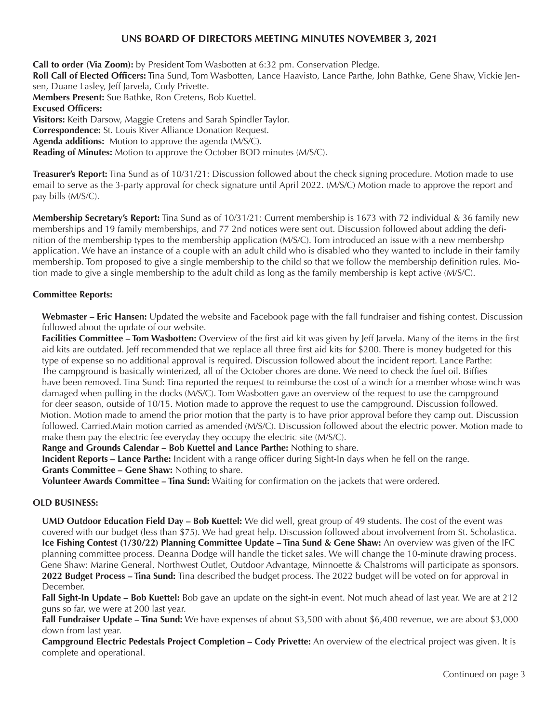#### **UNS BOARD OF DIRECTORS MEETING MINUTES NOVEMBER 3, 2021**

 **Roll Call of Elected Officers:** Tina Sund, Tom Wasbotten, Lance Haavisto, Lance Parthe, John Bathke, Gene Shaw, Vickie Jen-**Call to order (Via Zoom):** by President Tom Wasbotten at 6:32 pm. Conservation Pledge. sen, Duane Lasley, Jeff Jarvela, Cody Privette. **Members Present:** Sue Bathke, Ron Cretens, Bob Kuettel. **Excused Officers: Visitors:** Keith Darsow, Maggie Cretens and Sarah Spindler Taylor. **Correspondence:** St. Louis River Alliance Donation Request. **Agenda additions:** Motion to approve the agenda (M/S/C). **Reading of Minutes:** Motion to approve the October BOD minutes (M/S/C).

**Treasurer's Report:** Tina Sund as of 10/31/21: Discussion followed about the check signing procedure. Motion made to use email to serve as the 3-party approval for check signature until April 2022. (M/S/C) Motion made to approve the report and pay bills (M/S/C).

**Membership Secretary's Report:** Tina Sund as of 10/31/21: Current membership is 1673 with 72 individual & 36 family new memberships and 19 family memberships, and 77 2nd notices were sent out. Discussion followed about adding the definition of the membership types to the membership application (M/S/C). Tom introduced an issue with a new membershp application. We have an instance of a couple with an adult child who is disabled who they wanted to include in their family membership. Tom proposed to give a single membership to the child so that we follow the membership definition rules. Motion made to give a single membership to the adult child as long as the family membership is kept active (M/S/C).

#### **Committee Reports:**

**Webmaster – Eric Hansen:** Updated the website and Facebook page with the fall fundraiser and fishing contest. Discussion followed about the update of our website.

**Facilities Committee – Tom Wasbotten:** Overview of the first aid kit was given by Jeff Jarvela. Many of the items in the first aid kits are outdated. Jeff recommended that we replace all three first aid kits for \$200. There is money budgeted for this type of expense so no additional approval is required. Discussion followed about the incident report. Lance Parthe: The campground is basically winterized, all of the October chores are done. We need to check the fuel oil. Biffies have been removed. Tina Sund: Tina reported the request to reimburse the cost of a winch for a member whose winch was damaged when pulling in the docks (M/S/C). Tom Wasbotten gave an overview of the request to use the campground for deer season, outside of 10/15. Motion made to approve the request to use the campground. Discussion followed. Motion. Motion made to amend the prior motion that the party is to have prior approval before they camp out. Discussion followed. Carried.Main motion carried as amended (M/S/C). Discussion followed about the electric power. Motion made to make them pay the electric fee everyday they occupy the electric site (M/S/C).

**Range and Grounds Calendar – Bob Kuettel and Lance Parthe:** Nothing to share.

**Incident Reports – Lance Parthe:** Incident with a range officer during Sight-In days when he fell on the range. **Grants Committee – Gene Shaw:** Nothing to share.

**Volunteer Awards Committee – Tina Sund:** Waiting for confirmation on the jackets that were ordered.

#### **OLD BUSINESS:**

**UMD Outdoor Education Field Day – Bob Kuettel:** We did well, great group of 49 students. The cost of the event was covered with our budget (less than \$75). We had great help. Discussion followed about involvement from St. Scholastica. **Ice Fishing Contest (1/30/22) Planning Committee Update – Tina Sund & Gene Shaw:** An overview was given of the IFC planning committee process. Deanna Dodge will handle the ticket sales. We will change the 10-minute drawing process. Gene Shaw: Marine General, Northwest Outlet, Outdoor Advantage, Minnoette & Chalstroms will participate as sponsors. **2022 Budget Process – Tina Sund:** Tina described the budget process. The 2022 budget will be voted on for approval in December.

**Fall Sight-In Update – Bob Kuettel:** Bob gave an update on the sight-in event. Not much ahead of last year. We are at 212 guns so far, we were at 200 last year.

**Fall Fundraiser Update – Tina Sund:** We have expenses of about \$3,500 with about \$6,400 revenue, we are about \$3,000 down from last year.

**Campground Electric Pedestals Project Completion – Cody Privette:** An overview of the electrical project was given. It is complete and operational.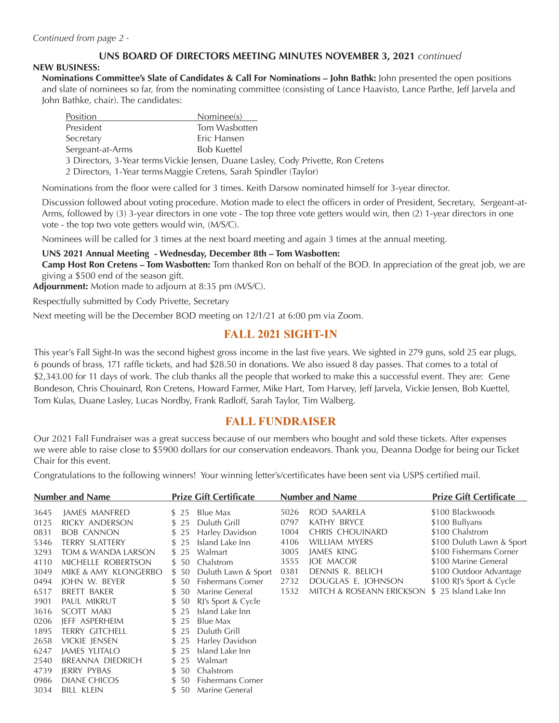## **UNS BOARD OF DIRECTORS MEETING MINUTES NOVEMBER 3, 2021** *continued*

#### **NEW BUSINESS:**

**Nominations Committee's Slate of Candidates & Call For Nominations – John Bathk:** John presented the open positions and slate of nominees so far, from the nominating committee (consisting of Lance Haavisto, Lance Parthe, Jeff Jarvela and John Bathke, chair). The candidates:

| Position                                                          | Nominee(s)                                                                        |
|-------------------------------------------------------------------|-----------------------------------------------------------------------------------|
| President                                                         | Tom Wasbotten                                                                     |
| Secretary                                                         | Eric Hansen                                                                       |
| Sergeant-at-Arms                                                  | <b>Bob Kuettel</b>                                                                |
|                                                                   | 3 Directors, 3-Year terms Vickie Jensen, Duane Lasley, Cody Privette, Ron Cretens |
| 2 Directors, 1-Year terms Maggie Cretens, Sarah Spindler (Taylor) |                                                                                   |
|                                                                   |                                                                                   |

Nominations from the floor were called for 3 times. Keith Darsow nominated himself for 3-year director.

Discussion followed about voting procedure. Motion made to elect the officers in order of President, Secretary, Sergeant-at-Arms, followed by (3) 3-year directors in one vote - The top three vote getters would win, then (2) 1-year directors in one vote - the top two vote getters would win, (M/S/C).

Nominees will be called for 3 times at the next board meeting and again 3 times at the annual meeting.

**UNS 2021 Annual Meeting - Wednesday, December 8th – Tom Wasbotten:**

**Camp Host Ron Cretens – Tom Wasbotten:** Tom thanked Ron on behalf of the BOD. In appreciation of the great job, we are giving a \$500 end of the season gift.

**Adjournment:** Motion made to adjourn at 8:35 pm (M/S/C).

Respectfully submitted by Cody Privette, Secretary

Next meeting will be the December BOD meeting on 12/1/21 at 6:00 pm via Zoom.

# **FALL 2021 SIGHT-IN**

This year's Fall Sight-In was the second highest gross income in the last five years. We sighted in 279 guns, sold 25 ear plugs, 6 pounds of brass, 171 raffle tickets, and had \$28.50 in donations. We also issued 8 day passes. That comes to a total of \$2,343.00 for 11 days of work. The club thanks all the people that worked to make this a successful event. They are: Gene Bondeson, Chris Chouinard, Ron Cretens, Howard Farmer, Mike Hart, Tom Harvey, Jeff Jarvela, Vickie Jensen, Bob Kuettel, Tom Kulas, Duane Lasley, Lucas Nordby, Frank Radloff, Sarah Taylor, Tim Walberg.

## **FALL FUNDRAISER**

Our 2021 Fall Fundraiser was a great success because of our members who bought and sold these tickets. After expenses we were able to raise close to \$5900 dollars for our conservation endeavors. Thank you, Deanna Dodge for being our Ticket Chair for this event.

Congratulations to the following winners! Your winning letter's/certificates have been sent via USPS certified mail.

|      | <b>Number and Name</b> |       | <b>Prize Gift Certificate</b> |      | <b>Number and Name</b>   | <b>Prize Gift Certificate</b> |
|------|------------------------|-------|-------------------------------|------|--------------------------|-------------------------------|
| 3645 | JAMES MANFRED          | \$25  | Blue Max                      | 5026 | ROD SAARELA              | \$100 Blackwoods              |
| 0125 | <b>RICKY ANDERSON</b>  | \$25  | Duluth Grill                  | 0797 | KATHY BRYCE              | \$100 Bullyans                |
| 0831 | <b>BOB CANNON</b>      | \$25  | Harley Davidson               | 1004 | CHRIS CHOUINARD          | \$100 Chalstrom               |
| 5346 | <b>TERRY SLATTERY</b>  | \$25  | Island Lake Inn               | 4106 | WILLIAM MYERS            | \$100 Duluth Lawn & Sport     |
| 3293 | TOM & WANDA LARSON     | \$25  | Walmart                       | 3005 | JAMES KING               | \$100 Fishermans Corner       |
| 4110 | MICHELLE ROBERTSON     | \$50  | Chalstrom                     | 3555 | <b>JOE MACOR</b>         | \$100 Marine General          |
| 3049 | MIKE & AMY KLONGERBO   | \$50  | Duluth Lawn & Sport           | 0381 | DENNIS R. BELICH         | \$100 Outdoor Advantage       |
| 0494 | JOHN W. BEYER          | \$50  | <b>Fishermans Corner</b>      | 2732 | DOUGLAS E. JOHNSON       | \$100 RJ's Sport & Cycle      |
| 6517 | BRETT BAKER            | \$50  | Marine General                | 1532 | MITCH & ROSEANN ERICKSON | \$ 25 Island Lake Inn         |
| 3901 | PAUL MIKRUT            | \$50  | RJ's Sport & Cycle            |      |                          |                               |
| 3616 | SCOTT MAKI             | \$25  | Island Lake Inn               |      |                          |                               |
| 0206 | JEFF ASPERHEIM         | \$25  | Blue Max                      |      |                          |                               |
| 1895 | <b>TERRY GITCHELL</b>  | \$25  | Duluth Grill                  |      |                          |                               |
| 2658 | <b>VICKIE JENSEN</b>   | \$25  | Harley Davidson               |      |                          |                               |
| 6247 | <b>JAMES YLITALO</b>   | \$25  | Island Lake Inn               |      |                          |                               |
| 2540 | BREANNA DIEDRICH       | \$25  | Walmart                       |      |                          |                               |
| 4739 | JERRY PYBAS            | \$50  | Chalstrom                     |      |                          |                               |
| 0986 | <b>DIANE CHICOS</b>    | \$50  | <b>Fishermans Corner</b>      |      |                          |                               |
| 3034 | BILL KLEIN             | \$ 50 | Marine General                |      |                          |                               |